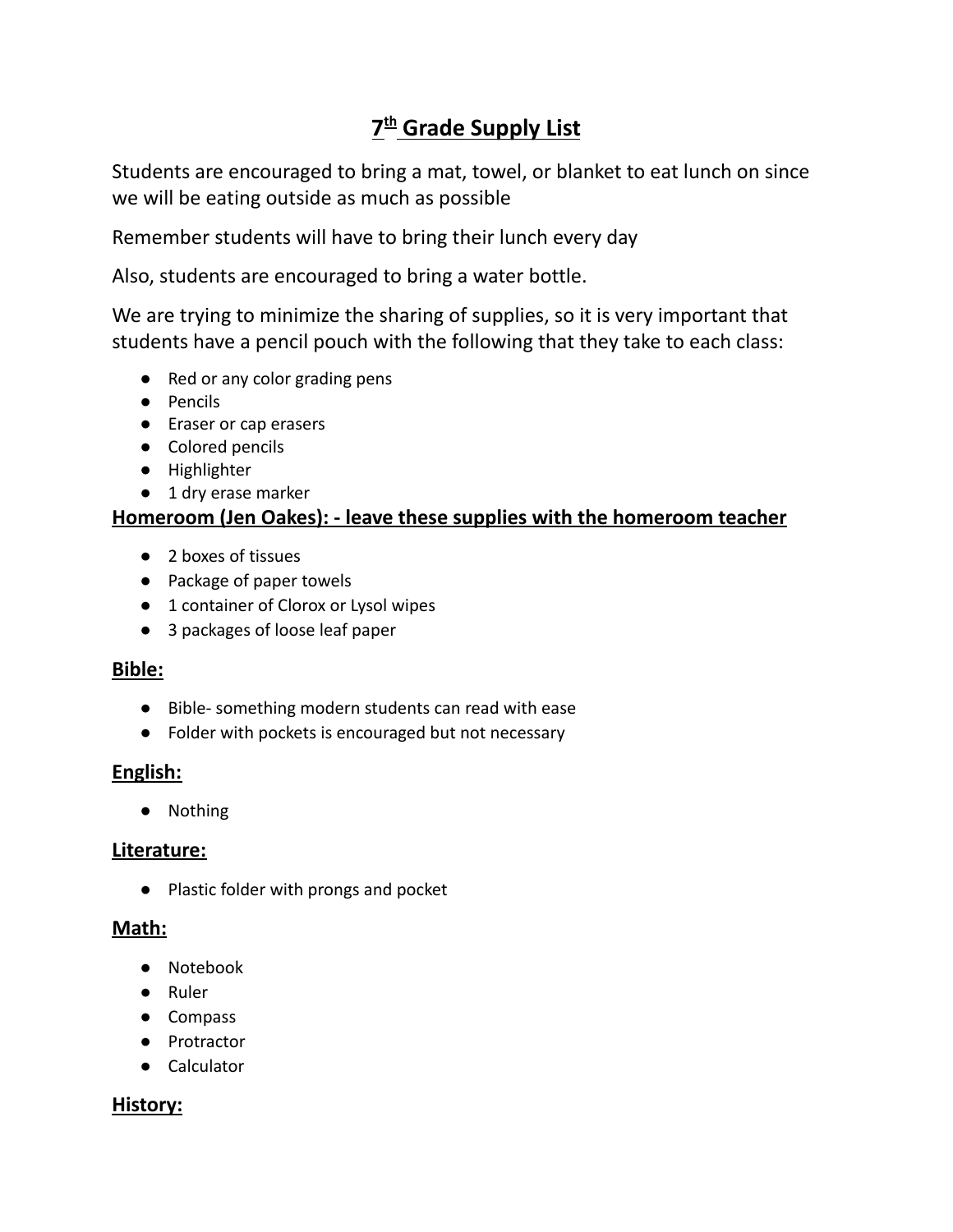# **7 th Grade Supply List**

Students are encouraged to bring a mat, towel, or blanket to eat lunch on since we will be eating outside as much as possible

Remember students will have to bring their lunch every day

Also, students are encouraged to bring a water bottle.

We are trying to minimize the sharing of supplies, so it is very important that students have a pencil pouch with the following that they take to each class:

- Red or any color grading pens
- Pencils
- Eraser or cap erasers
- Colored pencils
- Highlighter
- 1 dry erase marker

## **Homeroom (Jen Oakes): - leave these supplies with the homeroom teacher**

- 2 boxes of tissues
- Package of paper towels
- 1 container of Clorox or Lysol wipes
- 3 packages of loose leaf paper

#### **Bible:**

- Bible- something modern students can read with ease
- Folder with pockets is encouraged but not necessary

#### **English:**

● Nothing

#### **Literature:**

● Plastic folder with prongs and pocket

#### **Math:**

- Notebook
- Ruler
- Compass
- Protractor
- Calculator

## **History:**